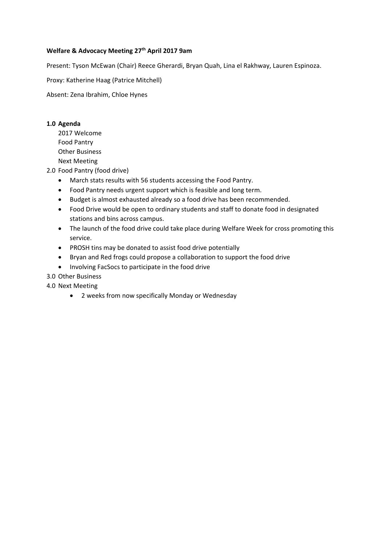# Welfare & Advocacy Meeting 27<sup>th</sup> April 2017 9am

Present: Tyson McEwan (Chair) Reece Gherardi, Bryan Quah, Lina el Rakhway, Lauren Espinoza.

Proxy: Katherine Haag (Patrice Mitchell)

Absent: Zena Ibrahim, Chloe Hynes

## **1.0 Agenda**

2017 Welcome Food Pantry Other Business Next Meeting

2.0 Food Pantry (food drive)

- March stats results with 56 students accessing the Food Pantry.
- Food Pantry needs urgent support which is feasible and long term.
- Budget is almost exhausted already so a food drive has been recommended.
- Food Drive would be open to ordinary students and staff to donate food in designated stations and bins across campus.
- The launch of the food drive could take place during Welfare Week for cross promoting this service.
- PROSH tins may be donated to assist food drive potentially
- Bryan and Red frogs could propose a collaboration to support the food drive
- Involving FacSocs to participate in the food drive
- 3.0 Other Business

# 4.0 Next Meeting

2 weeks from now specifically Monday or Wednesday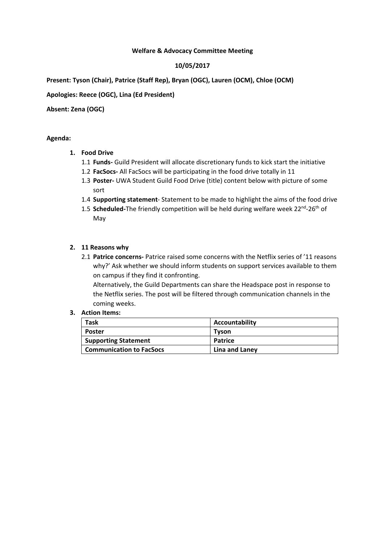## **Welfare & Advocacy Committee Meeting**

# **10/05/2017**

**Present: Tyson (Chair), Patrice (Staff Rep), Bryan (OGC), Lauren (OCM), Chloe (OCM)** 

# **Apologies: Reece (OGC), Lina (Ed President)**

# **Absent: Zena (OGC)**

## **Agenda:**

## **1. Food Drive**

- 1.1 **Funds‐** Guild President will allocate discretionary funds to kick start the initiative
- 1.2 **FacSocs‐** All FacSocs will be participating in the food drive totally in 11
- 1.3 **Poster‐** UWA Student Guild Food Drive (title) content below with picture of some sort
- 1.4 **Supporting statement**‐ Statement to be made to highlight the aims of the food drive
- 1.5 **Scheduled**-The friendly competition will be held during welfare week 22<sup>nd</sup>-26<sup>th</sup> of May

## **2. 11 Reasons why**

2.1 **Patrice concerns‐** Patrice raised some concerns with the Netflix series of '11 reasons why?' Ask whether we should inform students on support services available to them on campus if they find it confronting.

Alternatively, the Guild Departments can share the Headspace post in response to the Netflix series. The post will be filtered through communication channels in the coming weeks.

## **3. Action Items:**

| Task                            | Accountability |
|---------------------------------|----------------|
| <b>Poster</b>                   | <b>Tyson</b>   |
| <b>Supporting Statement</b>     | Patrice        |
| <b>Communication to FacSocs</b> | Lina and Laney |